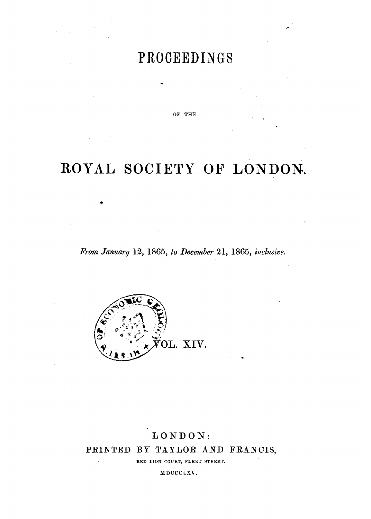## **PROCEEDINGS**

OF THE

# ROYAL SOCIETY OF LONDON.

*From January* 12, 1865, *to December* 21, 1865, *inclusive.* 



### LONDON: PRINTED BY TAYLOR AND FRANCIS,

RED LION COURT, FLEET STREET.

MDCCCLXV.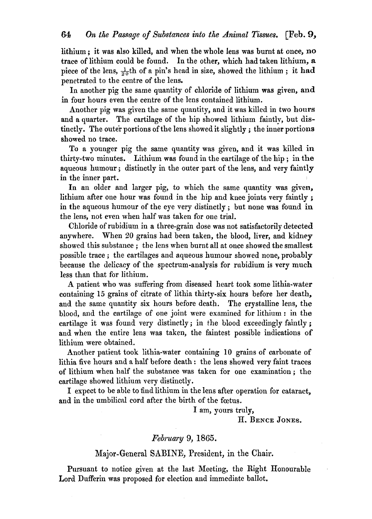lithium; it was also killed, and when the whole lens was burnt at once, no trace of lithium could be found. In the other, which had taken lithium, a piece of the lens,  $\frac{1}{20}$ th of a pin's head in size, showed the lithium; it had penetrated to the centre of the lens.

In another pig the same quantity of chloride of lithium was given, and in four hours even the centre of the lens contained lithium.

Another pig was given the same quantity, and it was killed in two hours and a quarter. The cartilage of the hip showed lithium faintly, but distinctly. The outer portions of the lens showed it slightly; the inner portions showed no trace.

To a younger pig the same quantity was given, and it was killed in thirty-two minutes. Lithium was found in the cartilage of the hip; in the aqueous humour; distinctly in the outer part of the lens, and very faintly in the inner part.

In an older and larger pig, to which the same quantity was given, lithium after one hour was found in the hip and knee joints very faintly; in the aqueous humour of the eye very distinctly; but none was found in the lens, not even when half was taken for one trial.

Chloride of rubidium in a three-grain dose was not satisfactorily detected anywhere. When 20 grains had been taken, the blood, liver, and kidney showed this substance; the lens when burnt all at once showed the smallest possible trace; the cartilages and aqueous humour showed none, probably because the delicacy of the spectrum-analysis for rubidium is very much less than that for lithium.

A patient who was suffering from diseased heart took some lithia-water containing 15 grains of citrate of lithia thirty-six hours before her death, and the same quantity six hours before death. The crystalline lens, the blood, and the cartilage of one joint were examined for lithium: in the cartilage it was found very distinctly; in the blood exceedingly faintly; and when the entire lens was taken, the faintest possible indications of lithium were obtained.

Another patient took lithia-water containing 10 grains of carbonate of lithia five hours and a half before death: the lens showed very faint traces of lithium when half the substance was taken for one examination; the cartilage showed lithium very distinctly.

I expect to be able to find lithium in the lens after operation for cataract, and in the umbilical cord after the birth of the foetus.

I am, yours truly,

H. BENCE JONES.

#### *February* 9, 1865.

#### Major-General SABINE, President, in the Chair.

Pursuant to notice given at the last Meeting, the Right Honourable Lord Dufferin was proposed for election and immediate ballot.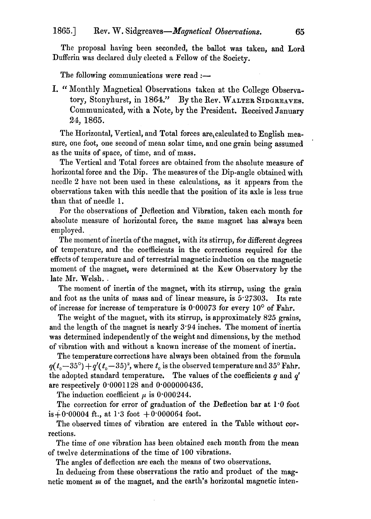The proposal having been seconded, the ballot was taken, and Lord Dufferin was declared duly elected a Fellow of the Society.

The following communications were read  $:$ 

I. "Monthly Magnetical Observations taken at the College Observatory, Stonyhurst, in 1864." By the Rev. WALTER SIDGREAVES. Communicated, with a Note, by the President. Received January 24, 1865.

The Horizontal, Vertical, and Total forces are, calculated to English measure, one foot, one second of mean solar time, and one grain being assumed as the units of space, of time, and of mass.

The Vertical and Total forces are obtained from the absolute measure of horizontal force and the Dip. The measures of the Dip-angle obtained with needle 2 have not been used in these calculations, as it appears from the observations taken with this needle that the position of its axle is less true than that of needle 1.

For the observations of Deflection and Vibration, taken each month for absolute measure of horizontal force, the same magnet has always been employed.

The moment of inertia of the magnet, with its stirrup, for different degrees of temperature, and the coefficients in the corrections required for the effects of temperature and of terrestrial magnetic induction on the magnetic moment of the magnet, were determined at the Kew Observatory by the late Mr. Welsh.

The moment of inertia of the magnet, with its stirrup, using the grain and foot as the units of mass and of linear measure, is  $5.27303$ . Its rate of increase for increase of temperature is  $0.00073$  for every  $10^{\circ}$  of Fahr.

The weight of the magnet, with its stirrup, is approximately  $825$  grains, and the length of the magnet is nearly  $3.94$  inches. The moment of inertia was determined independently of the weight and dimensions, by the method of vibration with and without a known increase of the moment of inertia.

The temperature corrections have always been obtained from the formula  $q(t_0-35^{\circ})+q'(t_0-35)^2$ , where  $t_0$  is the observed temperature and 35° Fahr. the adopted standard temperature. The values of the coefficients *q* and *q'*  are respectively 0'0001128 and 0'000000436.

The induction coefficient  $\mu$  is 0.000244.

The correction for error of graduation of the Deflection bar at 1'0 foot is  $+0.00004$  ft., at 1.3 foot  $+0.000064$  foot.

The observed times of vibration are entered in the Table without corrections.

The time of one vibration has been obtained each month from the mean of twelve determinations of the time of 100 vibrations.

The angles of deflection are each the means of two observations.

In deducing from these observations the ratio and product of the magnetic moment *m* of the magnet, and the earth's horizontal magnetic inten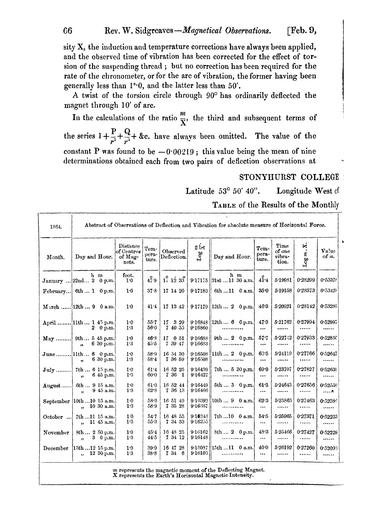66 Rev. W. *Sidgreaves-Magnetical Observations.* [Feb. 9,

sity X, the induction and temperature corrections have always been applied, and the observed time of vibration has been corrected for the effect of tor· sion of the suspending thread; but no correction has been required for the rate of the chronometer, or for the arc of vibration, the former having been generally less than  $1^{\circ}\cdot 0$ , and the latter less than  $50^{\prime}$ .

A twist of the torsion circle through 90° has ordinarily deflected the magnet through 10' of arc.

In the calculations of the ratio  $\frac{m}{\nabla}$ , the third and subsequent terms of the series  $1 + \frac{P}{r^2} + \frac{Q}{r^4} + \&c.$  have always been omitted. The value of the constant P was found to be  $-0.00219$ ; this value being the mean of nine determinations obtained each from two pairs of deflection observations at

#### STONYHURST COLLEGE

Latitude  $53^{\circ}$  50' 40". Longitude West of

TABLE of the Results of the Monthly

| 1364.    | Abstract of Observations of Deflection and Vibration for absolute measure of Horizontal Force. |                                              |                        |                                                        |                            |                                        |                        |                                   |              |                |  |
|----------|------------------------------------------------------------------------------------------------|----------------------------------------------|------------------------|--------------------------------------------------------|----------------------------|----------------------------------------|------------------------|-----------------------------------|--------------|----------------|--|
| Month.   | Day and Hour.                                                                                  | Distance<br>$of$ Centres<br>of Mag-<br>nets. | Tem-<br>pera-<br>ture. | Observed<br>Deflection.                                | ξŃ<br>$\operatorname{Log}$ | Day and Hour.                          | Tem-<br>pera-<br>ture. | Time<br>of one<br>vibra-<br>tion. | Ķ.<br>Log m  | Value<br>of m. |  |
|          | h m<br>January  22nd 2 0 p.m.                                                                  | foot.<br>1.0                                 | 47.9                   | $1^{\circ}_{1}$ $1^{\circ}_{2}$ $3^{\prime\prime}_{3}$ |                            | h m<br>$9.17175$ 21st 11 30 a.m.       | 41.4                   | 5 19931                           | 0.28299      | 0.53379        |  |
|          | February 6th  1 0 p.m.                                                                         | 1.0                                          | 37.8                   | 17 14 20                                               | 9.17183                    | 6th 11 0 a.m.                          | 35.0                   | 5.19158                           | 0.28373      | 0.53429        |  |
|          | March  12th  9 0 a.m.                                                                          | 1.0                                          | 41.4                   | 17 13 42                                               |                            | $9.17179$ 12th  2<br>0 <sub>p.m.</sub> | 46.3                   | 5.20921                           | 0.28142      | 0.53236        |  |
|          | April  11th  1 45 p.m.<br>2 0 p.m.                                                             | 1.0<br>1.3                                   | 55.7<br>56.0           | $17 \t329$<br>7 40 55                                  | 9.16860                    | $9.16848$   12th  6 0 p.m.<br>         | 47.3<br>$\cdots$       | 5.21762<br>                       | 0.27994<br>  | 0.52995<br>    |  |
|          | May  9th  5 45 p.m.<br>6 30 p.m.<br>$\ddot{\phantom{1}}$                                       | 1.0<br>1.3                                   | 46.3<br>45.5           | 17<br>0 51<br>7 39 47                                  | 9.16688<br>9.16633         | 9th 2 0 p.m.                           | $57 - 7$<br>$\cdots$   | 5.227.12                          | 0.27933<br>  | 0.52850<br>.   |  |
|          | June 11th 6 0 p.m.<br>$630$ p.m.<br>,,                                                         | 1.0<br>1.3                                   | 58.9<br>$58 - 4$       | 16 54 30<br>7 36 59                                    | 9.16508<br>9.16508         | $ 11th 2 0$ p.m.<br>                   | 63.5<br>$\cdots$       | 5.24119<br>                       | 0.27766<br>  | 0.52647<br>    |  |
|          | July ! 7th  6 15 p.m.<br>6 45 p.m.<br>$\bullet$                                                | 1.0<br>1:3                                   | 61.4<br>$60 - 0$       | 16 52 25<br>736<br>$\mathbf{1}$                        | 9.16439<br>916427          | 7th 530 p.m.<br>                       | 69.0<br>$\cdots$       | 5.23707<br>                       | 0.27827<br>  | 0.52635<br>    |  |
| August   | 6th  9 15 a.m.<br>9 45 a.m.<br>$\ddot{\phantom{a}}$                                            | 1.0<br>1.3                                   | 61.0<br>62.8           | 16 52 44<br>7 36 13                                    | 9.16449<br>9.16466         | 5th 5 0 p.m.                           | 61.3<br>$\cdots$       | 5.24643<br>                       | 0.27656<br>. | 0.52550<br>. 7 |  |
|          | September  10th10 15 a.m.<br>10 30 a.m.<br>$\ddot{\mathbf{r}}$                                 | 1.0<br>1.3                                   | 58.3<br>58.9           | 16 51 49<br>7 35 28                                    | 9.16392<br>9:16367         | $10th9$ 0 a.m.                         | 62.3<br>$\cdots$       | 5.25863<br>                       | 0.27463<br>  | 0.52385<br>    |  |
| October  | 7th 11 15 a.m.<br>11 45 a.m.<br>$\ddot{\phantom{1}}$                                           | 1.0<br>1.3                                   | 54.7<br>$55-3$         | 16 48 55<br>7 34 33                                    | 9.16246<br>9.16255         | 7th 10 0 a.m.<br>.                     | 54.5<br>$\cdots$       | 5.25965<br>                       | 0.27371<br>  | 0.52253<br>    |  |
| November | 8th  2 50 p.m.<br>3 0 p.m.<br>$\ddot{\phantom{0}}$                                             | 1.0<br>1.3                                   | 45.4<br>44.5           | 16 48 25<br>7 34 12                                    | 9.16162<br>9:16148         | 8th 2 0 p.m.<br>                       | 48.3<br>$\cdots$       | 525466<br>                        | 0.27427<br>  | 0.52229<br>    |  |
| December | 15th 12 15 p.m.<br>12 30 p.m.<br>$\overline{\phantom{a}}$                                      | 1.0<br>1.3                                   | 39.9<br>38.8           | 16 47 28<br>7 34 6                                     | 9:16103                    | 9 18087   15th 11 0 a.m.<br>           | 40.0<br>$\cdots$       | 5.26192<br>                       | 0.27260<br>  | 0.52093<br>    |  |

*m* represents the magnetic moment of the Deflecting Magnet. X represents the Earth's Horizontal Magnetic Intensity.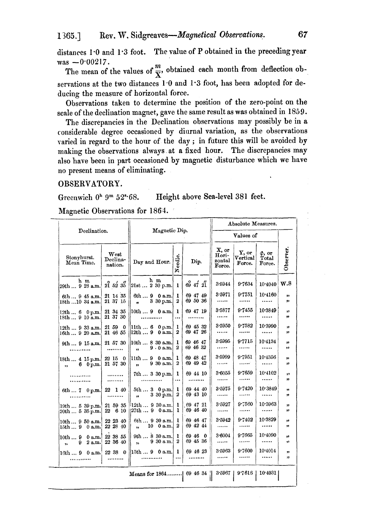distances 1'0 and 1'3 foot. The value of P obtained in the preceding year

was  $-0.00217$ .<br>The mean of the values of  $\frac{m}{\nabla}$ , obtained each month from deflection observations at the two distances 1.0 and 1.3 foot, has been adopted for deducing the measure of horizontal force.

Observations taken to determine the position of the zero-point on the scale of the declination magnet, gave the same result as was obtained in 1859.

The discrepancies in the Declination observations may possibly be in a considerable degree occasioned by diurnal variation, as the observations varied in regard to the honr of the day; in future this will be avoided by making the observations always. at a fixed hour. The discrepancies may also have been in part occasioned by magnetic disturbance which we have no present means of eliminating.

#### OBSERVATORY.

Greenwich  $0<sup>h</sup>$  9<sup>m</sup> 52<sup>s</sup> 68. Height above Sea-level 381 feet.

Magnetic Observations for 1864.

|                                                           |                                                       | Absolute Measures.                                                   |                                |                          |                                    |                             |                                |           |  |
|-----------------------------------------------------------|-------------------------------------------------------|----------------------------------------------------------------------|--------------------------------|--------------------------|------------------------------------|-----------------------------|--------------------------------|-----------|--|
| Declination.                                              | Magnetic Dip.                                         |                                                                      | Values of                      |                          |                                    |                             |                                |           |  |
| Stonyhurst.<br>Mean Time.                                 | West<br>Declina-<br>nation.                           | Day and Hour.                                                        |                                | Dip.                     | X, or<br>Hori-<br>zontal<br>Force. | Y, or<br>Vertical<br>Force. | $\phi$ , or<br>Total<br>Force. | Observer. |  |
| h m<br>29th  9 28 a.m.                                    | $2\overset{\circ}{1}$ 52 $3\overset{\prime\prime}{5}$ | h m<br>21st 230 p.m.                                                 | -1                             | 69 47 21                 | 3.5944                             | 9.7634                      | 10.4040                        | W.S       |  |
| $6th945$ a.m.<br>18th  10 34 a.m.                         | 21 14 35<br>21 37 15                                  | 6th $9 \ 0 \text{ a.m.}$<br>$3\,30\,\mathrm{p.m.}$<br>$\blacksquare$ | 1<br>2                         | 69 47 49<br>69 50 36     | 8.5971<br>                         | 9.7751<br>                  | 10.4160<br>                    | ,,<br>,,  |  |
| 12th 6 0 p.m.<br>18th  9 10 a.m.                          | 21 34 35<br>21 37 30                                  | $10th9$ 0 a.m. 1<br>                                                 | $\cdots$                       | 69 47 19                 | 3-5877<br>                         | 9.7455<br>                  | 10.3849<br>                    | ,,<br>,,  |  |
| 12th  9 33 a.m.<br>16th  9 20 a.m.                        | 21 59<br>- 0<br>21 46 55                              | 11th  6<br>$0$ p.m.<br>$12th9$ 0 a.m.                                | 1<br>$\boldsymbol{2}$          | 69 45 32<br>69 47 26     | $3 - 5950$<br>                     | 9.7582<br>                  | 10.3990<br>                    | ,,<br>,,  |  |
| 9th  9 15 a.m.                                            | 21 57 30<br>                                          | 10th830a.m. <br>9.0a.m.<br>$\ddot{\phantom{a}}$                      | 1<br>2                         | 69 46 47<br>69 46 32     | $3 - 5995$<br>                     | 9.7715<br>.                 | 10.4134<br>                    | ,,<br>,,  |  |
| 18th  4 15 p.m.<br>$6 \t 0 \t m.$<br>,,                   | 22 15 0<br>21 57 30                                   | 11th90a.m. <br>$9\,30\,$ a.m.<br>$\ddot{\phantom{a}}$                | 1<br>$\boldsymbol{2}$          | 69 48 47<br>69 49 42     | 3.5999<br>                         | 9.7951<br>. 7               | 10.4356<br>                    | ,,<br>,,  |  |
| .<br>.                                                    | .                                                     | $7th330$ p.m.                                                        | -1<br>$\cdots$                 | 69 44 10                 | 3.6055<br>                         | 9.7659<br>                  | 10.4102<br>                    | ,,<br>,,  |  |
| $6th7$ 0 p.m.                                             | 22 1 40                                               | $5th3$ 0 p.m.<br>$3,30$ p.m.<br>,,                                   | 1<br>2                         | 69 44 40<br>69 43 10     | 3.5975<br>                         | 9.7420<br>                  | 10.3849<br>                    | ,,<br>"   |  |
| 19th  5 39 p.m.<br>20th  5 35 p.m.                        | 21 59 35<br>6 10<br>22                                | [12th  9 30 a.m.]<br>$127th9$ 0 a.m.                                 | ı<br>ı                         | 69 47 21<br>69 46 40     | 3.5927<br>                         | $9 - 560$<br>               | 10.3963                        | ,,<br>,,  |  |
| 10th  9 50 a.m.<br>$0$ a.m.<br>15th9                      | 22 23 40<br>22 28 40                                  | 6th  9 30 a.m.<br>10<br>0 a.m.<br>,,                                 | 1<br>2                         | 69 46 47<br>69 42 44     | 3.5942<br>                         | 9.7402<br>.                 | 10.3329<br>                    | ,,<br>33  |  |
| 10th  9 0 a.m.<br>2 a.m.<br>9.<br>$\ddot{\phantom{a}}$    | 22 38 55<br>22 36 40                                  | 9th830a.m.<br>930 a.m.<br>$\ddot{\phantom{a}}$                       | $\mathbf{1}$<br>$\overline{2}$ | 69 46<br>- 0<br>69 45 36 | 3.6004<br>.                        | 9.7665<br>                  | 10.4090<br>                    | ,,<br>33  |  |
| $16th9$ 0 a.m.                                            | 22 38 0<br>                                           | $\ 15\text{th}\,9\ 0\,\text{a.m.}\ $                                 | 1<br>$\cdots$                  | 69 46 23                 | 3.5963<br>                         | 9.7600<br>.                 | 10.4014<br>                    | ,,<br>,,  |  |
| 3.5967  <br>9.7616   10.4031  <br>Means for 1864 69 46 34 |                                                       |                                                                      |                                |                          |                                    |                             |                                |           |  |